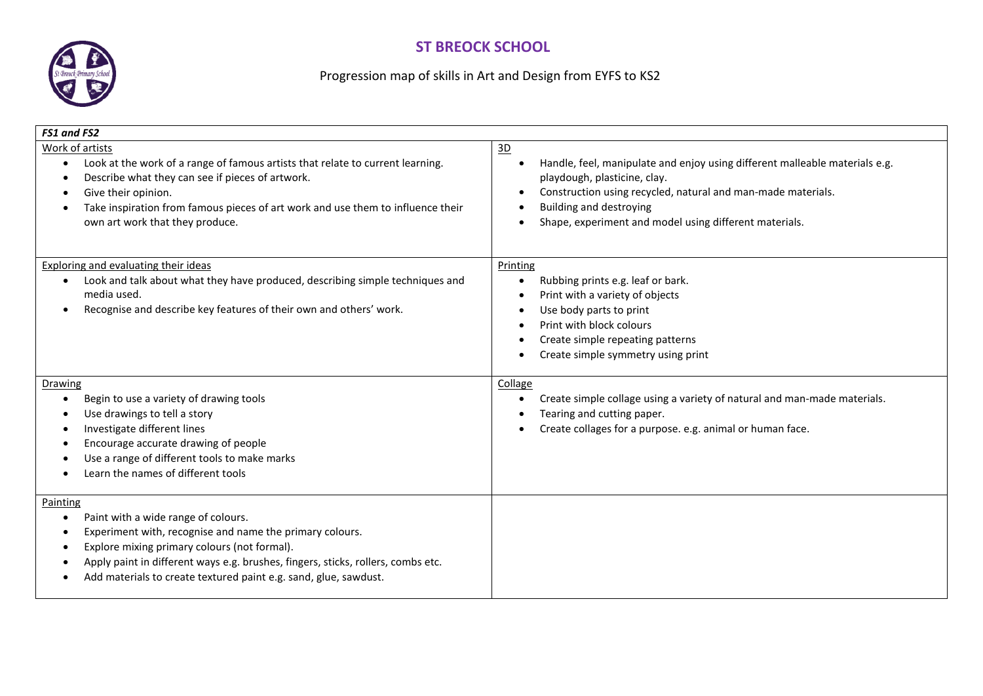## **ST BREOCK SCHOOL**



## Progression map of skills in Art and Design from EYFS to KS2

| FS1 and FS2                                                                                                                                                                                                                                                                                                                                   |                                                                                                                                                                                                                                                                               |
|-----------------------------------------------------------------------------------------------------------------------------------------------------------------------------------------------------------------------------------------------------------------------------------------------------------------------------------------------|-------------------------------------------------------------------------------------------------------------------------------------------------------------------------------------------------------------------------------------------------------------------------------|
| Work of artists<br>Look at the work of a range of famous artists that relate to current learning.<br>$\bullet$<br>Describe what they can see if pieces of artwork.<br>٠<br>Give their opinion.<br>Take inspiration from famous pieces of art work and use them to influence their<br>own art work that they produce.                          | 3D<br>Handle, feel, manipulate and enjoy using different malleable materials e.g.<br>playdough, plasticine, clay.<br>Construction using recycled, natural and man-made materials.<br><b>Building and destroying</b><br>Shape, experiment and model using different materials. |
| <b>Exploring and evaluating their ideas</b><br>Look and talk about what they have produced, describing simple techniques and<br>٠<br>media used.<br>Recognise and describe key features of their own and others' work.<br>$\bullet$                                                                                                           | Printing<br>Rubbing prints e.g. leaf or bark.<br>Print with a variety of objects<br>Use body parts to print<br>Print with block colours<br>Create simple repeating patterns<br>Create simple symmetry using print                                                             |
| Drawing<br>Begin to use a variety of drawing tools<br>$\bullet$<br>Use drawings to tell a story<br>Investigate different lines<br>$\bullet$<br>Encourage accurate drawing of people<br>Use a range of different tools to make marks<br>Learn the names of different tools                                                                     | Collage<br>Create simple collage using a variety of natural and man-made materials.<br>Tearing and cutting paper.<br>Create collages for a purpose. e.g. animal or human face.                                                                                                |
| Painting<br>Paint with a wide range of colours.<br>$\bullet$<br>Experiment with, recognise and name the primary colours.<br>$\bullet$<br>Explore mixing primary colours (not formal).<br>Apply paint in different ways e.g. brushes, fingers, sticks, rollers, combs etc.<br>Add materials to create textured paint e.g. sand, glue, sawdust. |                                                                                                                                                                                                                                                                               |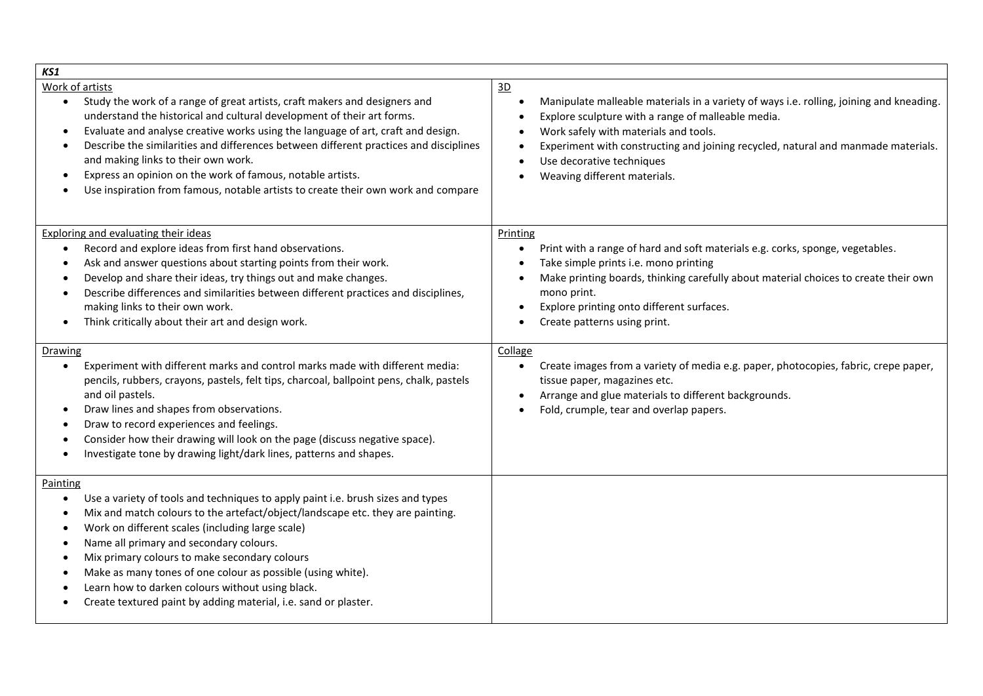| KS1                                                                                                                                                                                                                                                                                                                                                                                                                                                                                                                                                              |                                                                                                                                                                                                                                                                                                                                                                                                                              |
|------------------------------------------------------------------------------------------------------------------------------------------------------------------------------------------------------------------------------------------------------------------------------------------------------------------------------------------------------------------------------------------------------------------------------------------------------------------------------------------------------------------------------------------------------------------|------------------------------------------------------------------------------------------------------------------------------------------------------------------------------------------------------------------------------------------------------------------------------------------------------------------------------------------------------------------------------------------------------------------------------|
| Work of artists<br>Study the work of a range of great artists, craft makers and designers and<br>$\bullet$<br>understand the historical and cultural development of their art forms.<br>Evaluate and analyse creative works using the language of art, craft and design.<br>٠<br>Describe the similarities and differences between different practices and disciplines<br>and making links to their own work.<br>Express an opinion on the work of famous, notable artists.<br>Use inspiration from famous, notable artists to create their own work and compare | 3D<br>Manipulate malleable materials in a variety of ways i.e. rolling, joining and kneading.<br>$\bullet$<br>Explore sculpture with a range of malleable media.<br>$\bullet$<br>Work safely with materials and tools.<br>$\bullet$<br>Experiment with constructing and joining recycled, natural and manmade materials.<br>$\bullet$<br>Use decorative techniques<br>$\bullet$<br>Weaving different materials.<br>$\bullet$ |
| Exploring and evaluating their ideas<br>Record and explore ideas from first hand observations.<br>$\bullet$<br>Ask and answer questions about starting points from their work.<br>Develop and share their ideas, try things out and make changes.<br>Describe differences and similarities between different practices and disciplines,<br>making links to their own work.<br>Think critically about their art and design work.                                                                                                                                  | Printing<br>Print with a range of hard and soft materials e.g. corks, sponge, vegetables.<br>$\bullet$<br>Take simple prints i.e. mono printing<br>$\bullet$<br>Make printing boards, thinking carefully about material choices to create their own<br>mono print.<br>Explore printing onto different surfaces.<br>$\bullet$<br>Create patterns using print.<br>$\bullet$                                                    |
| Drawing<br>Experiment with different marks and control marks made with different media:<br>$\bullet$<br>pencils, rubbers, crayons, pastels, felt tips, charcoal, ballpoint pens, chalk, pastels<br>and oil pastels.<br>Draw lines and shapes from observations.<br>Draw to record experiences and feelings.<br>Consider how their drawing will look on the page (discuss negative space).<br>Investigate tone by drawing light/dark lines, patterns and shapes.                                                                                                  | Collage<br>Create images from a variety of media e.g. paper, photocopies, fabric, crepe paper,<br>tissue paper, magazines etc.<br>Arrange and glue materials to different backgrounds.<br>$\bullet$<br>Fold, crumple, tear and overlap papers.<br>$\bullet$                                                                                                                                                                  |
| Painting<br>Use a variety of tools and techniques to apply paint i.e. brush sizes and types<br>$\bullet$<br>Mix and match colours to the artefact/object/landscape etc. they are painting.<br>$\bullet$<br>Work on different scales (including large scale)<br>Name all primary and secondary colours.<br>$\bullet$<br>Mix primary colours to make secondary colours<br>Make as many tones of one colour as possible (using white).<br>Learn how to darken colours without using black.<br>Create textured paint by adding material, i.e. sand or plaster.       |                                                                                                                                                                                                                                                                                                                                                                                                                              |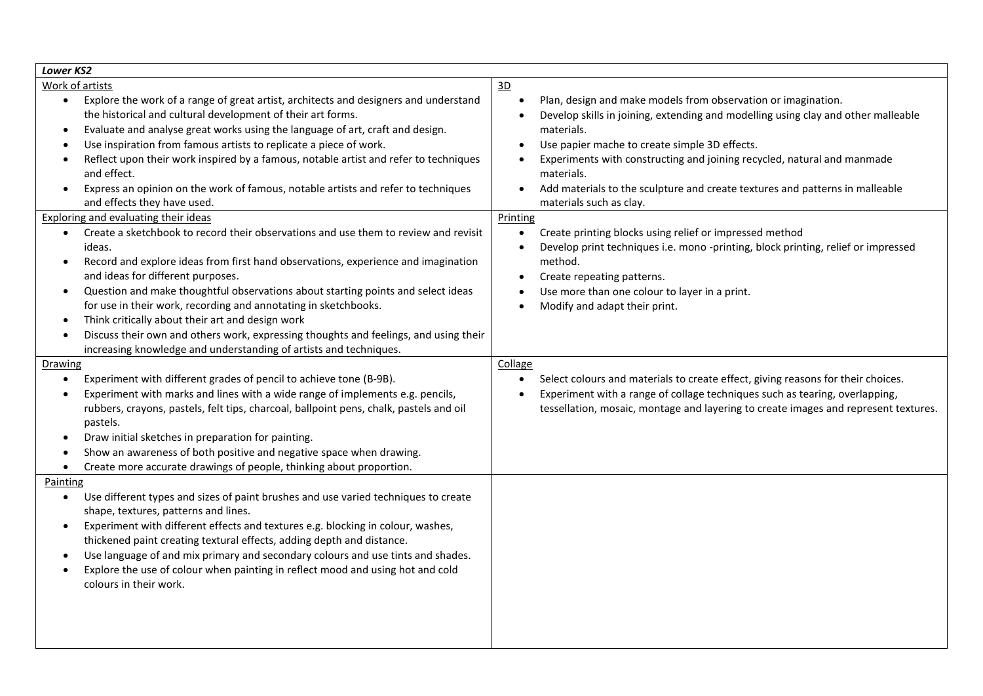| <b>Lower KS2</b>                                                                                                                                                                                                                                                                                                                                                                                                                                                                                                                                                                                                                                                                                                                                                                                                                                                                                                                                                                                                                                                                                                                                                                                                                                                                                                                                                                                                                                                                                                                                                                                                                                                                                                                                                                                                                                                                                                                                                                                                                                                                                                                                                            |                                                                                                                                                                                                                                                                                                                                                                                                                                                                                                                                                                                                                                                                                                                                                                                                                                                                                                                                                                                                                                                                                                 |
|-----------------------------------------------------------------------------------------------------------------------------------------------------------------------------------------------------------------------------------------------------------------------------------------------------------------------------------------------------------------------------------------------------------------------------------------------------------------------------------------------------------------------------------------------------------------------------------------------------------------------------------------------------------------------------------------------------------------------------------------------------------------------------------------------------------------------------------------------------------------------------------------------------------------------------------------------------------------------------------------------------------------------------------------------------------------------------------------------------------------------------------------------------------------------------------------------------------------------------------------------------------------------------------------------------------------------------------------------------------------------------------------------------------------------------------------------------------------------------------------------------------------------------------------------------------------------------------------------------------------------------------------------------------------------------------------------------------------------------------------------------------------------------------------------------------------------------------------------------------------------------------------------------------------------------------------------------------------------------------------------------------------------------------------------------------------------------------------------------------------------------------------------------------------------------|-------------------------------------------------------------------------------------------------------------------------------------------------------------------------------------------------------------------------------------------------------------------------------------------------------------------------------------------------------------------------------------------------------------------------------------------------------------------------------------------------------------------------------------------------------------------------------------------------------------------------------------------------------------------------------------------------------------------------------------------------------------------------------------------------------------------------------------------------------------------------------------------------------------------------------------------------------------------------------------------------------------------------------------------------------------------------------------------------|
| Work of artists<br>Explore the work of a range of great artist, architects and designers and understand<br>$\bullet$<br>the historical and cultural development of their art forms.<br>Evaluate and analyse great works using the language of art, craft and design.<br>$\bullet$<br>Use inspiration from famous artists to replicate a piece of work.<br>Reflect upon their work inspired by a famous, notable artist and refer to techniques<br>and effect.<br>Express an opinion on the work of famous, notable artists and refer to techniques<br>$\bullet$<br>and effects they have used.<br><b>Exploring and evaluating their ideas</b><br>Create a sketchbook to record their observations and use them to review and revisit<br>$\bullet$<br>ideas.<br>Record and explore ideas from first hand observations, experience and imagination<br>$\bullet$<br>and ideas for different purposes.<br>Question and make thoughtful observations about starting points and select ideas<br>$\bullet$<br>for use in their work, recording and annotating in sketchbooks.<br>Think critically about their art and design work<br>$\bullet$<br>Discuss their own and others work, expressing thoughts and feelings, and using their<br>$\bullet$<br>increasing knowledge and understanding of artists and techniques.<br><b>Drawing</b><br>Experiment with different grades of pencil to achieve tone (B-9B).<br>Experiment with marks and lines with a wide range of implements e.g. pencils,<br>$\bullet$<br>rubbers, crayons, pastels, felt tips, charcoal, ballpoint pens, chalk, pastels and oil<br>pastels.<br>Draw initial sketches in preparation for painting.<br>$\bullet$<br>Show an awareness of both positive and negative space when drawing.<br>Create more accurate drawings of people, thinking about proportion.<br>$\bullet$<br>Painting<br>Use different types and sizes of paint brushes and use varied techniques to create<br>$\bullet$<br>shape, textures, patterns and lines.<br>Experiment with different effects and textures e.g. blocking in colour, washes,<br>$\bullet$<br>thickened paint creating textural effects, adding depth and distance. | 3D<br>Plan, design and make models from observation or imagination.<br>$\bullet$<br>Develop skills in joining, extending and modelling using clay and other malleable<br>materials.<br>Use papier mache to create simple 3D effects.<br>$\bullet$<br>Experiments with constructing and joining recycled, natural and manmade<br>materials.<br>Add materials to the sculpture and create textures and patterns in malleable<br>$\bullet$<br>materials such as clay.<br>Printing<br>Create printing blocks using relief or impressed method<br>$\bullet$<br>Develop print techniques i.e. mono -printing, block printing, relief or impressed<br>$\bullet$<br>method.<br>Create repeating patterns.<br>$\bullet$<br>Use more than one colour to layer in a print.<br>Modify and adapt their print.<br>$\bullet$<br>Collage<br>Select colours and materials to create effect, giving reasons for their choices.<br>$\bullet$<br>Experiment with a range of collage techniques such as tearing, overlapping,<br>tessellation, mosaic, montage and layering to create images and represent textures. |
| Use language of and mix primary and secondary colours and use tints and shades.<br>$\bullet$<br>Explore the use of colour when painting in reflect mood and using hot and cold<br>colours in their work.                                                                                                                                                                                                                                                                                                                                                                                                                                                                                                                                                                                                                                                                                                                                                                                                                                                                                                                                                                                                                                                                                                                                                                                                                                                                                                                                                                                                                                                                                                                                                                                                                                                                                                                                                                                                                                                                                                                                                                    |                                                                                                                                                                                                                                                                                                                                                                                                                                                                                                                                                                                                                                                                                                                                                                                                                                                                                                                                                                                                                                                                                                 |